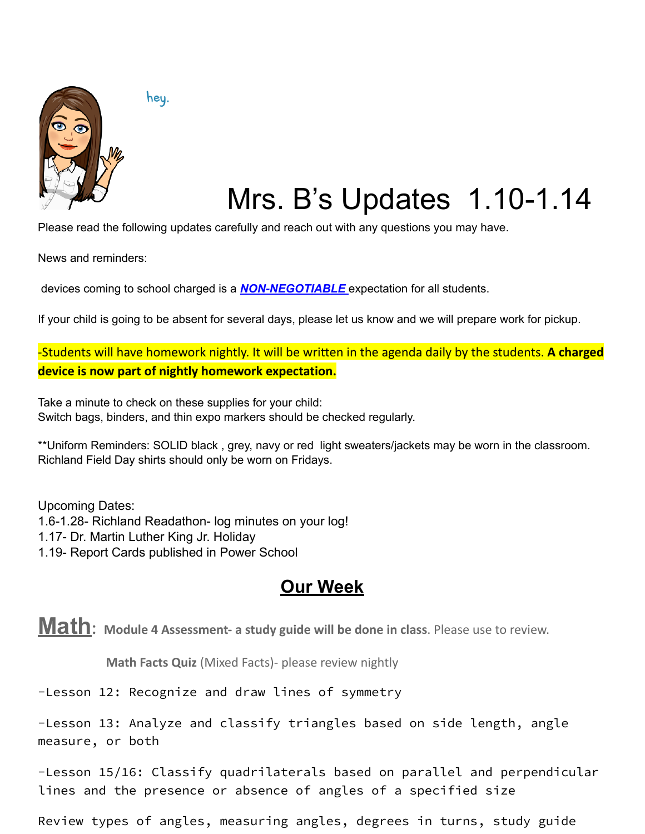

hey.

# Mrs. B's Updates 1.10-1.14

Please read the following updates carefully and reach out with any questions you may have.

News and reminders:

devices coming to school charged is a *NON-NEGOTIABLE* expectation for all students.

If your child is going to be absent for several days, please let us know and we will prepare work for pickup.

-Students will have homework nightly. It will be written in the agenda daily by the students. **A charged device is now part of nightly homework expectation.**

Take a minute to check on these supplies for your child: Switch bags, binders, and thin expo markers should be checked regularly.

\*\*Uniform Reminders: SOLID black , grey, navy or red light sweaters/jackets may be worn in the classroom. Richland Field Day shirts should only be worn on Fridays.

Upcoming Dates: 1.6-1.28- Richland Readathon- log minutes on your log! 1.17- Dr. Martin Luther King Jr. Holiday 1.19- Report Cards published in Power School

#### **Our Week**

**Math: Module <sup>4</sup> Assessment- <sup>a</sup> study guide will be done in class**. Please use to review.

**Math Facts Quiz** (Mixed Facts)- please review nightly

-Lesson 12: Recognize and draw lines of symmetry

-Lesson 13: Analyze and classify triangles based on side length, angle measure, or both

-Lesson 15/16: Classify quadrilaterals based on parallel and perpendicular lines and the presence or absence of angles of a specified size

Review types of angles, measuring angles, degrees in turns, study guide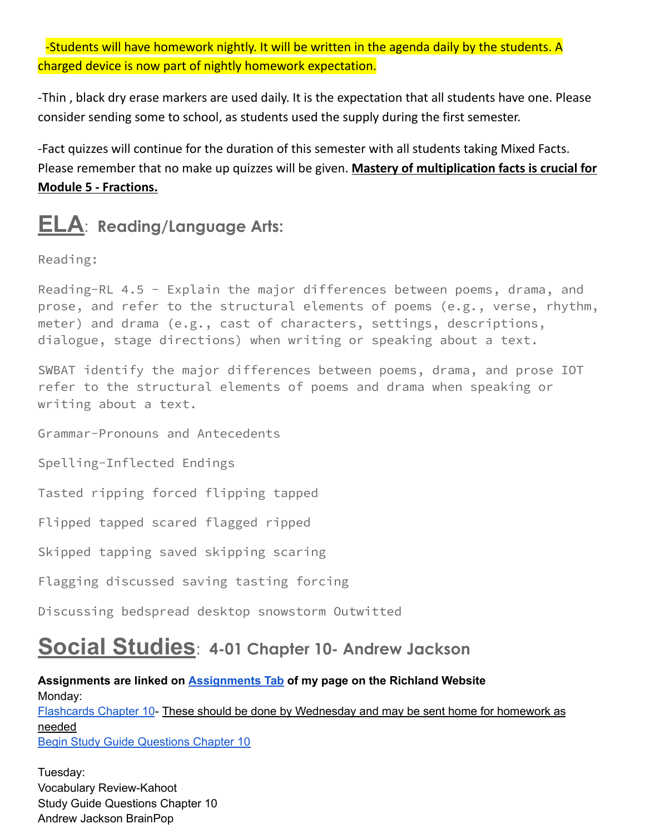-Students will have homework nightly. It will be written in the agenda daily by the students. A charged device is now part of nightly homework expectation.

-Thin , black dry erase markers are used daily. It is the expectation that all students have one. Please consider sending some to school, as students used the supply during the first semester.

-Fact quizzes will continue for the duration of this semester with all students taking Mixed Facts. Please remember that no make up quizzes will be given. **Mastery of multiplication facts is crucial for Module 5 - Fractions.**

## **ELA**: **Reading/Language Arts:**

Reading:

Reading-RL 4.5 - Explain the major differences between poems, drama, and prose, and refer to the structural elements of poems (e.g., verse, rhythm, meter) and drama (e.g., cast of characters, settings, descriptions, dialogue, stage directions) when writing or speaking about a text.

SWBAT identify the major differences between poems, drama, and prose IOT refer to the structural elements of poems and drama when speaking or writing about a text.

Grammar-Pronouns and Antecedents

Spelling-Inflected Endings

Tasted ripping forced flipping tapped

Flipped tapped scared flagged ripped

Skipped tapping saved skipping scaring

Flagging discussed saving tasting forcing

Discussing bedspread desktop snowstorm Outwitted

### **Social Studies**: **4-01 Chapter 10- Andrew Jackson**

#### **Assignments are linked on [Assignments](https://schools.scsk12.org/Page/14428) Tab of my page on the Richland Website** Monday: [Flashcards](https://docs.google.com/presentation/d/1ctWShCTzmtNeqkx0yHBpdB_l2fHBrvYZ/edit?usp=sharing&ouid=108253847898517478753&rtpof=true&sd=true) Chapter 10- These should be done by Wednesday and may be sent home for homework as needed **Begin Study Guide [Questions](https://docs.google.com/document/d/1oXAZC_n47ndE2Lh4LGI9MO8jI5YYw1qiHU9lDI5rTR4/edit?usp=sharing) Chapter 10**

Tuesday: Vocabulary Review-Kahoot Study Guide Questions Chapter 10 Andrew Jackson BrainPop